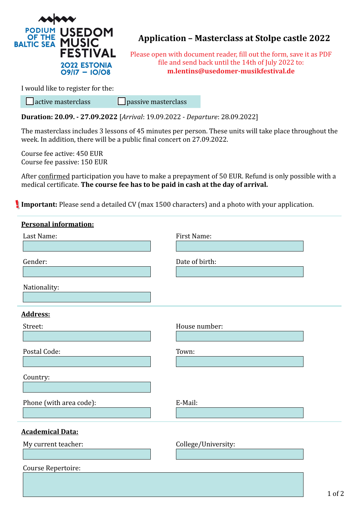

## **Application – Masterclass at Stolpe castle 2022**

Please open with document reader, fill out the form, save it as PDF file and send back until the 14th of July 2022 to: **m.lentins@usedomer-musikfestival.de**

I would like to register for the:

 $\Box$  active masterclass  $\Box$  passive masterclass

**Duration: 20.09. - 27.09.2022** [*Arrival*: 19.09.2022 - *Departure*: 28.09.2022]

The masterclass includes 3 lessons of 45 minutes per person. These units will take place throughout the week. In addition, there will be a public final concert on 27.09.2022.

Course fee active: 450 EUR Course fee passive: 150 EUR

After confirmed participation you have to make a prepayment of 50 EUR. Refund is only possible with a medical certificate. **The course fee has to be paid in cash at the day of arrival.**

**Important:** Please send a detailed CV (max 1500 characters) and a photo with your application.

| <b>Personal information:</b> |                     |
|------------------------------|---------------------|
| Last Name:                   | First Name:         |
| Gender:                      | Date of birth:      |
| Nationality:                 |                     |
| <b>Address:</b>              |                     |
| Street:                      | House number:       |
| Postal Code:                 | Town:               |
| Country:                     |                     |
| Phone (with area code):      | E-Mail:             |
| <b>Academical Data:</b>      |                     |
| My current teacher:          | College/University: |
| Course Repertoire:           |                     |
|                              |                     |